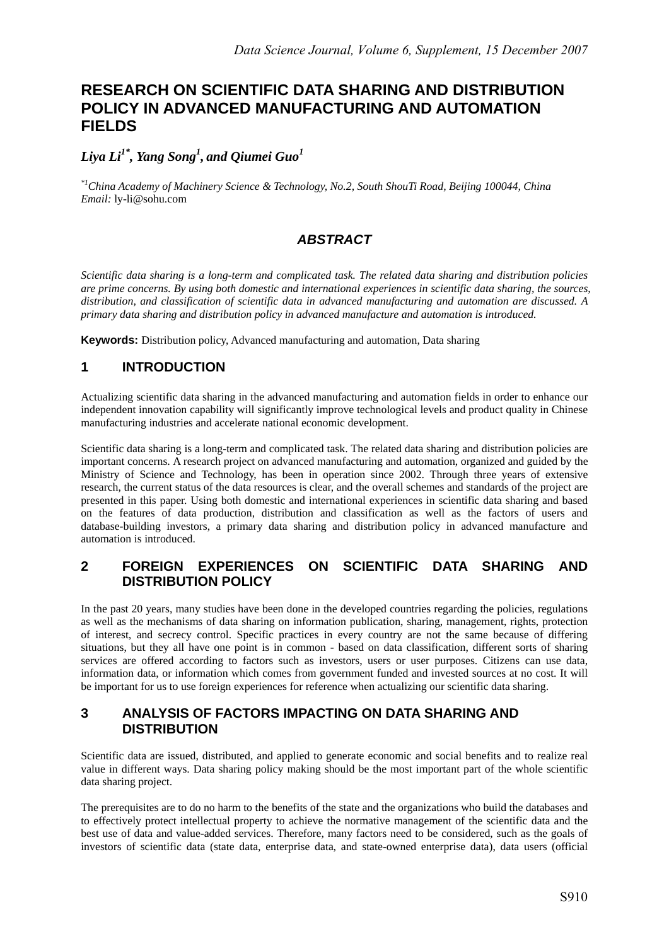# **RESEARCH ON SCIENTIFIC DATA SHARING AND DISTRIBUTION POLICY IN ADVANCED MANUFACTURING AND AUTOMATION FIELDS**

## *Liya Li1\*, Yang Song1 , and Qiumei Guo<sup>1</sup>*

*\*1China Academy of Machinery Science & Technology, No.2, South ShouTi Road, Beijing 100044, China Email:* ly-li@sohu.com

## *ABSTRACT*

*Scientific data sharing is a long-term and complicated task. The related data sharing and distribution policies are prime concerns. By using both domestic and international experiences in scientific data sharing, the sources, distribution, and classification of scientific data in advanced manufacturing and automation are discussed. A primary data sharing and distribution policy in advanced manufacture and automation is introduced.* 

**Keywords:** Distribution policy, Advanced manufacturing and automation, Data sharing

## **1 INTRODUCTION**

Actualizing scientific data sharing in the advanced manufacturing and automation fields in order to enhance our independent innovation capability will significantly improve technological levels and product quality in Chinese manufacturing industries and accelerate national economic development.

Scientific data sharing is a long-term and complicated task. The related data sharing and distribution policies are important concerns. A research project on advanced manufacturing and automation, organized and guided by the Ministry of Science and Technology, has been in operation since 2002. Through three years of extensive research, the current status of the data resources is clear, and the overall schemes and standards of the project are presented in this paper. Using both domestic and international experiences in scientific data sharing and based on the features of data production, distribution and classification as well as the factors of users and database-building investors, a primary data sharing and distribution policy in advanced manufacture and automation is introduced.

#### **2 FOREIGN EXPERIENCES ON SCIENTIFIC DATA SHARING AND DISTRIBUTION POLICY**

In the past 20 years, many studies have been done in the developed countries regarding the policies, regulations as well as the mechanisms of data sharing on information publication, sharing, management, rights, protection of interest, and secrecy control. Specific practices in every country are not the same because of differing situations, but they all have one point is in common - based on data classification, different sorts of sharing services are offered according to factors such as investors, users or user purposes. Citizens can use data, information data, or information which comes from government funded and invested sources at no cost. It will be important for us to use foreign experiences for reference when actualizing our scientific data sharing.

#### **3 ANALYSIS OF FACTORS IMPACTING ON DATA SHARING AND DISTRIBUTION**

Scientific data are issued, distributed, and applied to generate economic and social benefits and to realize real value in different ways. Data sharing policy making should be the most important part of the whole scientific data sharing project.

The prerequisites are to do no harm to the benefits of the state and the organizations who build the databases and to effectively protect intellectual property to achieve the normative management of the scientific data and the best use of data and value-added services. Therefore, many factors need to be considered, such as the goals of investors of scientific data (state data, enterprise data, and state-owned enterprise data), data users (official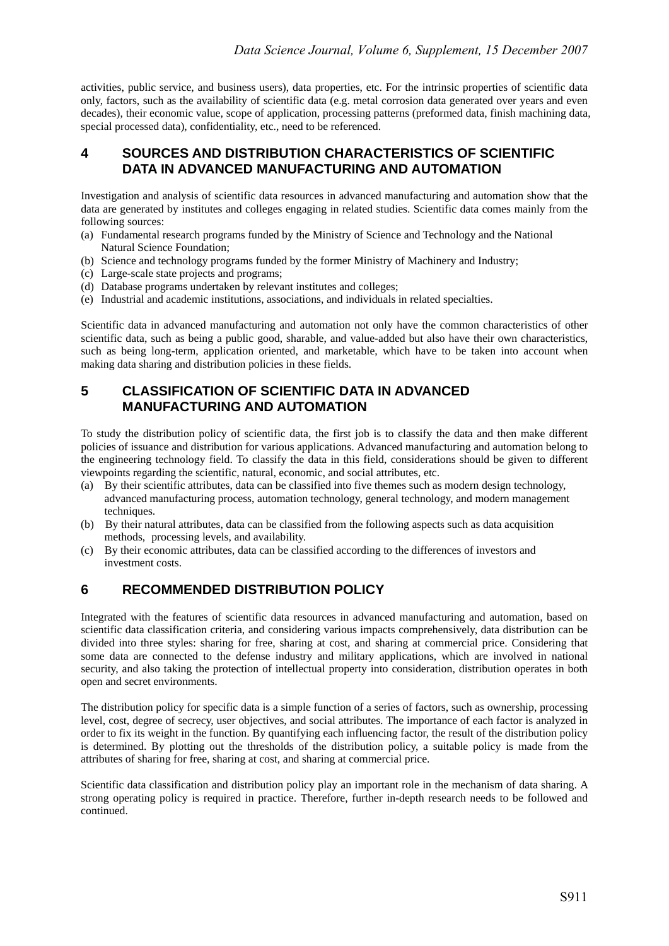activities, public service, and business users), data properties, etc. For the intrinsic properties of scientific data only, factors, such as the availability of scientific data (e.g. metal corrosion data generated over years and even decades), their economic value, scope of application, processing patterns (preformed data, finish machining data, special processed data), confidentiality, etc., need to be referenced.

#### **4 SOURCES AND DISTRIBUTION CHARACTERISTICS OF SCIENTIFIC DATA IN ADVANCED MANUFACTURING AND AUTOMATION**

Investigation and analysis of scientific data resources in advanced manufacturing and automation show that the data are generated by institutes and colleges engaging in related studies. Scientific data comes mainly from the following sources:

- (a) Fundamental research programs funded by the Ministry of Science and Technology and the National Natural Science Foundation;
- (b) Science and technology programs funded by the former Ministry of Machinery and Industry;
- (c) Large-scale state projects and programs;
- (d) Database programs undertaken by relevant institutes and colleges;
- (e) Industrial and academic institutions, associations, and individuals in related specialties.

Scientific data in advanced manufacturing and automation not only have the common characteristics of other scientific data, such as being a public good, sharable, and value-added but also have their own characteristics, such as being long-term, application oriented, and marketable, which have to be taken into account when making data sharing and distribution policies in these fields.

### **5 CLASSIFICATION OF SCIENTIFIC DATA IN ADVANCED MANUFACTURING AND AUTOMATION**

To study the distribution policy of scientific data, the first job is to classify the data and then make different policies of issuance and distribution for various applications. Advanced manufacturing and automation belong to the engineering technology field. To classify the data in this field, considerations should be given to different viewpoints regarding the scientific, natural, economic, and social attributes, etc.

- (a) By their scientific attributes, data can be classified into five themes such as modern design technology, advanced manufacturing process, automation technology, general technology, and modern management techniques.
- (b) By their natural attributes, data can be classified from the following aspects such as data acquisition methods, processing levels, and availability.
- (c) By their economic attributes, data can be classified according to the differences of investors and investment costs.

### **6 RECOMMENDED DISTRIBUTION POLICY**

Integrated with the features of scientific data resources in advanced manufacturing and automation, based on scientific data classification criteria, and considering various impacts comprehensively, data distribution can be divided into three styles: sharing for free, sharing at cost, and sharing at commercial price. Considering that some data are connected to the defense industry and military applications, which are involved in national security, and also taking the protection of intellectual property into consideration, distribution operates in both open and secret environments.

The distribution policy for specific data is a simple function of a series of factors, such as ownership, processing level, cost, degree of secrecy, user objectives, and social attributes. The importance of each factor is analyzed in order to fix its weight in the function. By quantifying each influencing factor, the result of the distribution policy is determined. By plotting out the thresholds of the distribution policy, a suitable policy is made from the attributes of sharing for free, sharing at cost, and sharing at commercial price.

Scientific data classification and distribution policy play an important role in the mechanism of data sharing. A strong operating policy is required in practice. Therefore, further in-depth research needs to be followed and continued.